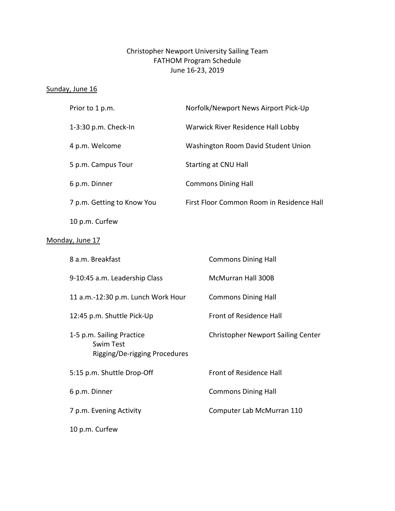## Christopher Newport University Sailing Team FATHOM Program Schedule June 16-23, 2019

#### Sunday, June 16

|                 | Prior to 1 p.m.                                                                | Norfolk/Newport News Airport Pick-Up      |  |
|-----------------|--------------------------------------------------------------------------------|-------------------------------------------|--|
|                 | 1-3:30 p.m. Check-In                                                           | Warwick River Residence Hall Lobby        |  |
|                 | 4 p.m. Welcome                                                                 | Washington Room David Student Union       |  |
|                 | 5 p.m. Campus Tour                                                             | Starting at CNU Hall                      |  |
|                 | 6 p.m. Dinner                                                                  | <b>Commons Dining Hall</b>                |  |
|                 | 7 p.m. Getting to Know You                                                     | First Floor Common Room in Residence Hall |  |
|                 | 10 p.m. Curfew                                                                 |                                           |  |
| Monday, June 17 |                                                                                |                                           |  |
|                 | 8 a.m. Breakfast                                                               | <b>Commons Dining Hall</b>                |  |
|                 | 9-10:45 a.m. Leadership Class                                                  | McMurran Hall 300B                        |  |
|                 | 11 a.m.-12:30 p.m. Lunch Work Hour                                             | <b>Commons Dining Hall</b>                |  |
|                 | 12:45 p.m. Shuttle Pick-Up                                                     | Front of Residence Hall                   |  |
|                 | 1-5 p.m. Sailing Practice<br><b>Swim Test</b><br>Rigging/De-rigging Procedures | <b>Christopher Newport Sailing Center</b> |  |
|                 | 5:15 p.m. Shuttle Drop-Off                                                     | Front of Residence Hall                   |  |
|                 | 6 p.m. Dinner                                                                  | <b>Commons Dining Hall</b>                |  |
|                 | 7 p.m. Evening Activity                                                        | Computer Lab McMurran 110                 |  |
|                 | 10 p.m. Curfew                                                                 |                                           |  |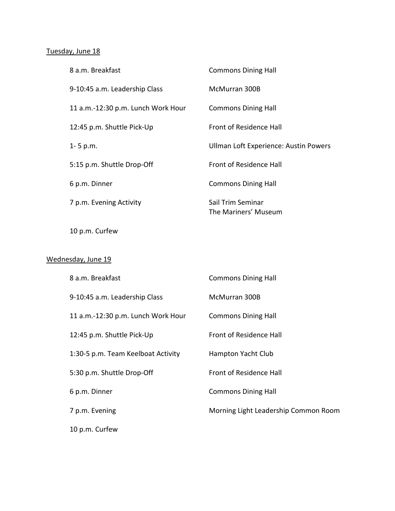# Tuesday, June 18

| 8 a.m. Breakfast                   | <b>Commons Dining Hall</b>                |
|------------------------------------|-------------------------------------------|
| 9-10:45 a.m. Leadership Class      | McMurran 300B                             |
| 11 a.m.-12:30 p.m. Lunch Work Hour | <b>Commons Dining Hall</b>                |
| 12:45 p.m. Shuttle Pick-Up         | <b>Front of Residence Hall</b>            |
| $1 - 5$ p.m.                       | Ullman Loft Experience: Austin Powers     |
| 5:15 p.m. Shuttle Drop-Off         | <b>Front of Residence Hall</b>            |
| 6 p.m. Dinner                      | <b>Commons Dining Hall</b>                |
| 7 p.m. Evening Activity            | Sail Trim Seminar<br>The Mariners' Museum |
|                                    |                                           |

10 p.m. Curfew

### Wednesday, June 19

| 8 a.m. Breakfast                   | <b>Commons Dining Hall</b>           |
|------------------------------------|--------------------------------------|
| 9-10:45 a.m. Leadership Class      | McMurran 300B                        |
| 11 a.m.-12:30 p.m. Lunch Work Hour | <b>Commons Dining Hall</b>           |
| 12:45 p.m. Shuttle Pick-Up         | Front of Residence Hall              |
| 1:30-5 p.m. Team Keelboat Activity | Hampton Yacht Club                   |
| 5:30 p.m. Shuttle Drop-Off         | Front of Residence Hall              |
| 6 p.m. Dinner                      | <b>Commons Dining Hall</b>           |
| 7 p.m. Evening                     | Morning Light Leadership Common Room |
| 10 p.m. Curfew                     |                                      |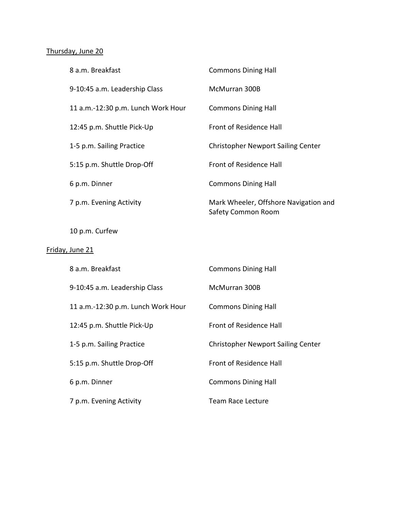## Thursday, June 20

| 8 a.m. Breakfast                   | <b>Commons Dining Hall</b>                                         |
|------------------------------------|--------------------------------------------------------------------|
| 9-10:45 a.m. Leadership Class      | McMurran 300B                                                      |
| 11 a.m.-12:30 p.m. Lunch Work Hour | <b>Commons Dining Hall</b>                                         |
| 12:45 p.m. Shuttle Pick-Up         | Front of Residence Hall                                            |
| 1-5 p.m. Sailing Practice          | <b>Christopher Newport Sailing Center</b>                          |
| 5:15 p.m. Shuttle Drop-Off         | Front of Residence Hall                                            |
| 6 p.m. Dinner                      | <b>Commons Dining Hall</b>                                         |
| 7 p.m. Evening Activity            | Mark Wheeler, Offshore Navigation and<br><b>Safety Common Room</b> |
| 10 p.m. Curfew                     |                                                                    |
| Friday, June 21                    |                                                                    |
| 8 a.m. Breakfast                   | <b>Commons Dining Hall</b>                                         |
| 9-10:45 a.m. Leadership Class      | McMurran 300B                                                      |
| 11 a.m.-12:30 p.m. Lunch Work Hour | <b>Commons Dining Hall</b>                                         |
| 12:45 p.m. Shuttle Pick-Up         | Front of Residence Hall                                            |
| 1-5 p.m. Sailing Practice          | <b>Christopher Newport Sailing Center</b>                          |
| 5:15 p.m. Shuttle Drop-Off         | Front of Residence Hall                                            |
| 6 p.m. Dinner                      | <b>Commons Dining Hall</b>                                         |
| 7 p.m. Evening Activity            | <b>Team Race Lecture</b>                                           |